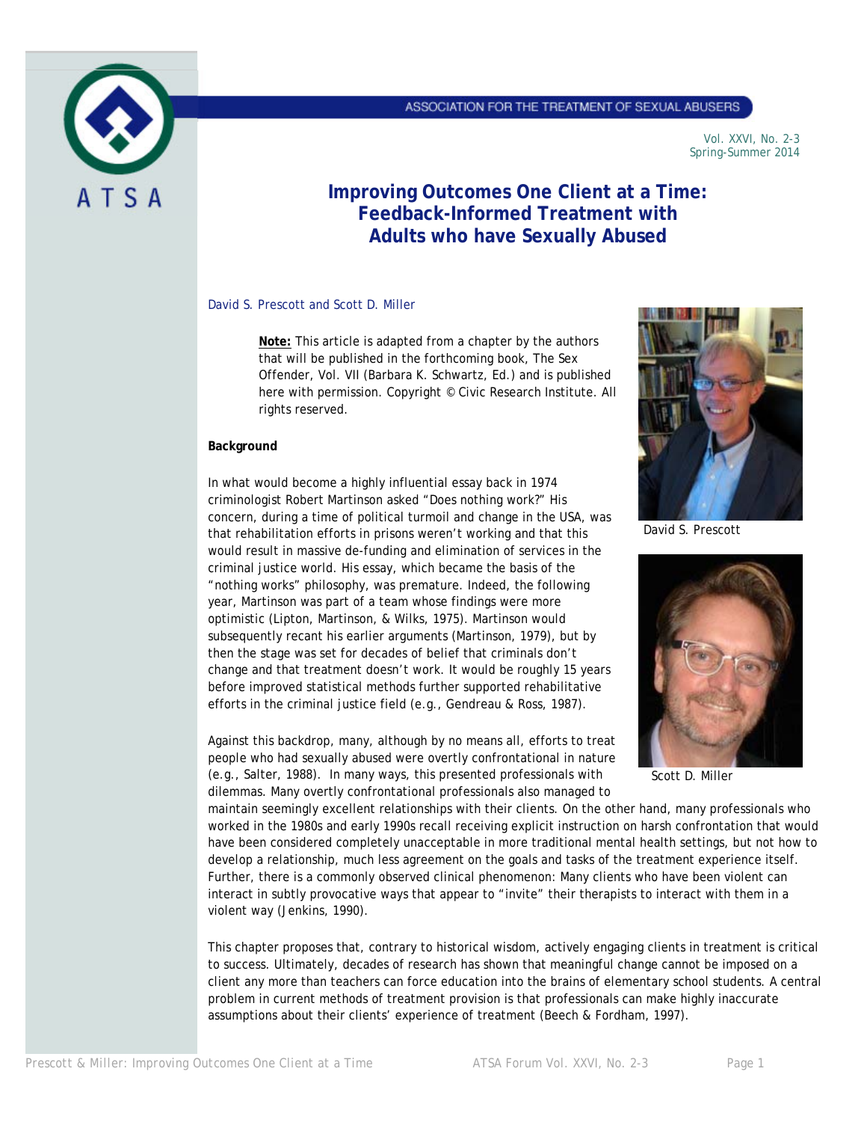

Vol. XXVI, No. 2-3 Spring-Summer 2014

# **Improving Outcomes One Client at a Time: Feedback-Informed Treatment with Adults who have Sexually Abused**

## David S. Prescott and Scott D. Miller

**Note:** This article is adapted from a chapter by the authors that will be published in the forthcoming book, The Sex Offender, Vol. VII (Barbara K. Schwartz, Ed.) and is published here with permission. Copyright © Civic Research Institute. All rights reserved.

#### **Background**

In what would become a highly influential essay back in 1974 criminologist Robert Martinson asked "Does nothing work?" His concern, during a time of political turmoil and change in the USA, was that rehabilitation efforts in prisons weren't working and that this would result in massive de-funding and elimination of services in the criminal justice world. His essay, which became the basis of the "nothing works" philosophy, was premature. Indeed, the following year, Martinson was part of a team whose findings were more optimistic (Lipton, Martinson, & Wilks, 1975). Martinson would subsequently recant his earlier arguments (Martinson, 1979), but by then the stage was set for decades of belief that criminals don't change and that treatment doesn't work. It would be roughly 15 years before improved statistical methods further supported rehabilitative efforts in the criminal justice field (e.g., Gendreau & Ross, 1987).

Against this backdrop, many, although by no means all, efforts to treat people who had sexually abused were overtly confrontational in nature (e.g., Salter, 1988). In many ways, this presented professionals with dilemmas. Many overtly confrontational professionals also managed to



David S. Prescott



Scott D. Miller

maintain seemingly excellent relationships with their clients. On the other hand, many professionals who worked in the 1980s and early 1990s recall receiving explicit instruction on harsh confrontation that would have been considered completely unacceptable in more traditional mental health settings, but not how to develop a relationship, much less agreement on the goals and tasks of the treatment experience itself. Further, there is a commonly observed clinical phenomenon: Many clients who have been violent can interact in subtly provocative ways that appear to "invite" their therapists to interact with them in a violent way (Jenkins, 1990).

This chapter proposes that, contrary to historical wisdom, actively engaging clients in treatment is critical to success. Ultimately, decades of research has shown that meaningful change cannot be imposed on a client any more than teachers can force education into the brains of elementary school students. A central problem in current methods of treatment provision is that professionals can make highly inaccurate assumptions about their clients' experience of treatment (Beech & Fordham, 1997).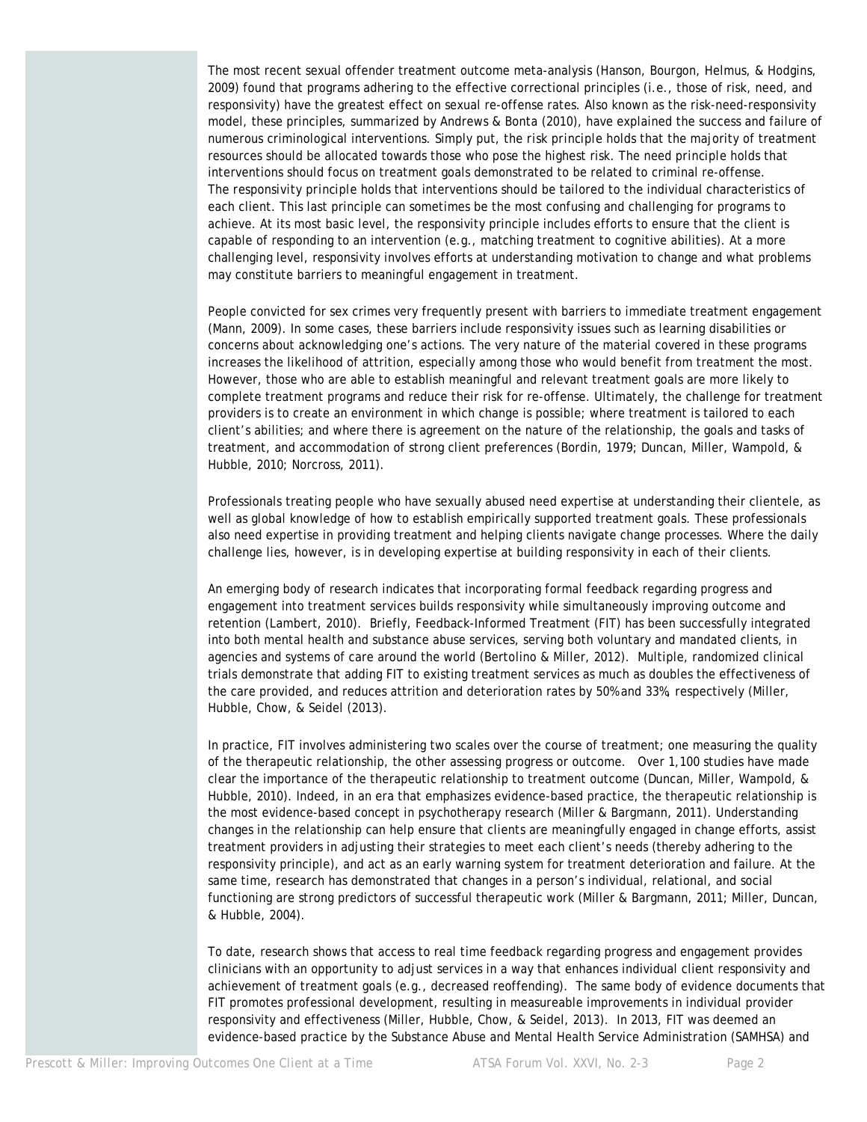The most recent sexual offender treatment outcome meta-analysis (Hanson, Bourgon, Helmus, & Hodgins, 2009) found that programs adhering to the effective correctional principles (i.e., those of risk, need, and responsivity) have the greatest effect on sexual re-offense rates. Also known as the risk-need-responsivity model, these principles, summarized by Andrews & Bonta (2010), have explained the success and failure of numerous criminological interventions. Simply put, the *risk principle* holds that the majority of treatment resources should be allocated towards those who pose the highest risk. The *need principle* holds that interventions should focus on treatment goals demonstrated to be related to criminal re-offense. The *responsivity principle* holds that interventions should be tailored to the individual characteristics of each client. This last principle can sometimes be the most confusing and challenging for programs to achieve. At its most basic level, the responsivity principle includes efforts to ensure that the client is capable of responding to an intervention (e.g., matching treatment to cognitive abilities). At a more challenging level, responsivity involves efforts at understanding motivation to change and what problems may constitute barriers to meaningful engagement in treatment.

People convicted for sex crimes very frequently present with barriers to immediate treatment engagement (Mann, 2009). In some cases, these barriers include responsivity issues such as learning disabilities or concerns about acknowledging one's actions. The very nature of the material covered in these programs increases the likelihood of attrition, especially among those who would benefit from treatment the most. However, those who are able to establish meaningful and relevant treatment goals are more likely to complete treatment programs and reduce their risk for re-offense. Ultimately, the challenge for treatment providers is to create an environment in which change is possible; where treatment is tailored to each client's abilities; and where there is agreement on the nature of the relationship, the goals and tasks of treatment, and accommodation of strong client preferences (Bordin, 1979; Duncan, Miller, Wampold, & Hubble, 2010; Norcross, 2011).

Professionals treating people who have sexually abused need expertise at understanding their clientele, as well as global knowledge of how to establish empirically supported treatment goals. These professionals also need expertise in providing treatment and helping clients navigate change processes. Where the daily challenge lies, however, is in developing expertise at building responsivity in each of their clients.

An emerging body of research indicates that incorporating formal feedback regarding progress and engagement into treatment services builds responsivity while simultaneously improving outcome and retention (Lambert, 2010). Briefly, Feedback-Informed Treatment (FIT) has been successfully integrated into both mental health and substance abuse services, serving both voluntary and mandated clients, in agencies and systems of care around the world (Bertolino & Miller, 2012). Multiple, randomized clinical trials demonstrate that adding FIT to existing treatment services as much as doubles the effectiveness of the care provided, and reduces attrition and deterioration rates by 50% and 33%, respectively (Miller, Hubble, Chow, & Seidel (2013).

In practice, FIT involves administering two scales over the course of treatment; one measuring the quality of the therapeutic relationship, the other assessing progress or outcome. Over 1,100 studies have made clear the importance of the therapeutic relationship to treatment outcome (Duncan, Miller, Wampold, & Hubble, 2010). Indeed, in an era that emphasizes evidence-based practice, the therapeutic relationship is the most evidence-based concept in psychotherapy research (Miller & Bargmann, 2011). Understanding changes in the relationship can help ensure that clients are meaningfully engaged in change efforts, assist treatment providers in adjusting their strategies to meet each client's needs (thereby adhering to the responsivity principle), and act as an early warning system for treatment deterioration and failure. At the same time, research has demonstrated that changes in a person's individual, relational, and social functioning are strong predictors of successful therapeutic work (Miller & Bargmann, 2011; Miller, Duncan, & Hubble, 2004).

To date, research shows that access to real time feedback regarding progress and engagement provides clinicians with an opportunity to adjust services in a way that enhances individual client responsivity and achievement of treatment goals (e.g., decreased reoffending). The same body of evidence documents that FIT promotes professional development, resulting in measureable improvements in individual provider responsivity and effectiveness (Miller, Hubble, Chow, & Seidel, 2013). In 2013, FIT was deemed an evidence-based practice by the Substance Abuse and Mental Health Service Administration (SAMHSA) and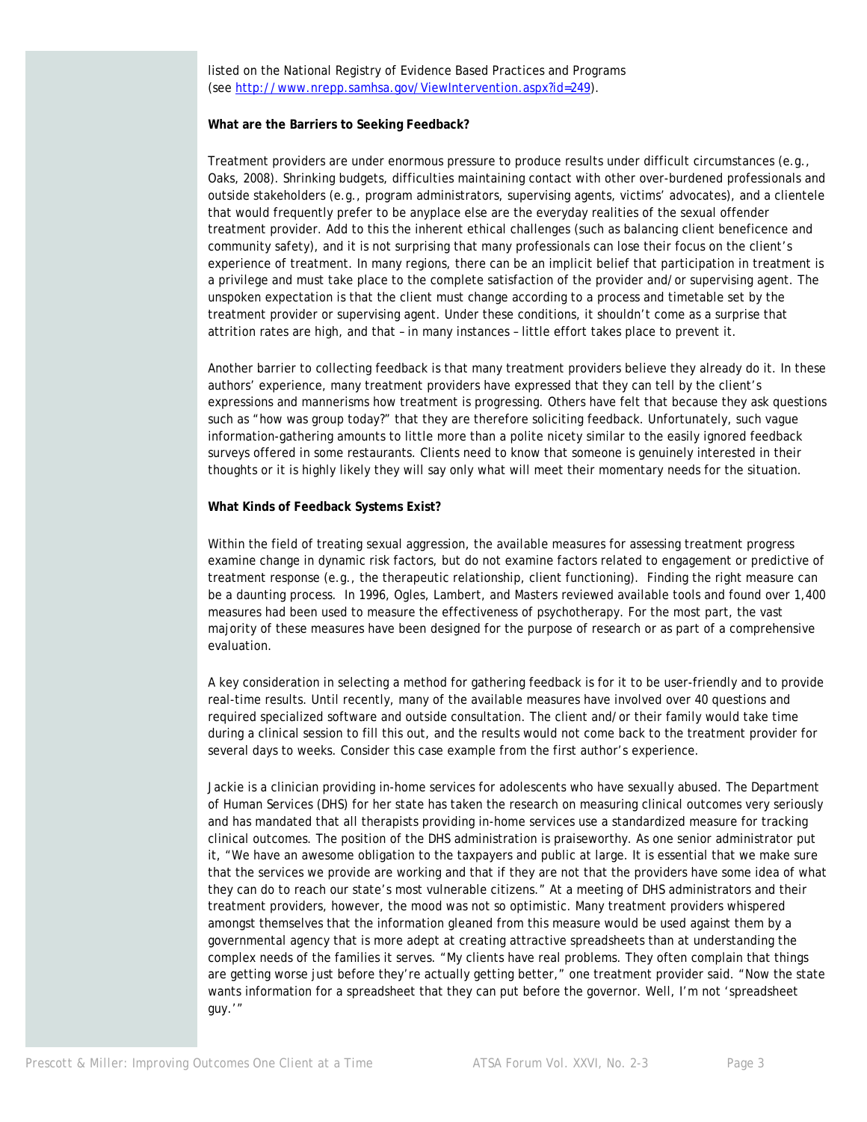## **What are the Barriers to Seeking Feedback?**

Treatment providers are under enormous pressure to produce results under difficult circumstances (e.g., Oaks, 2008). Shrinking budgets, difficulties maintaining contact with other over-burdened professionals and outside stakeholders (e.g., program administrators, supervising agents, victims' advocates), and a clientele that would frequently prefer to be anyplace else are the everyday realities of the sexual offender treatment provider. Add to this the inherent ethical challenges (such as balancing client beneficence and community safety), and it is not surprising that many professionals can lose their focus on the client's experience of treatment. In many regions, there can be an implicit belief that participation in treatment is a privilege and must take place to the complete satisfaction of the provider and/or supervising agent. The unspoken expectation is that the client must change according to a process and timetable set by the treatment provider or supervising agent. Under these conditions, it shouldn't come as a surprise that attrition rates are high, and that – in many instances – little effort takes place to prevent it.

Another barrier to collecting feedback is that many treatment providers believe they already do it. In these authors' experience, many treatment providers have expressed that they can tell by the client's expressions and mannerisms how treatment is progressing. Others have felt that because they ask questions such as "how was group today?" that they are therefore soliciting feedback. Unfortunately, such vague information-gathering amounts to little more than a polite nicety similar to the easily ignored feedback surveys offered in some restaurants. Clients need to know that someone is genuinely interested in their thoughts or it is highly likely they will say only what will meet their momentary needs for the situation.

## **What Kinds of Feedback Systems Exist?**

Within the field of treating sexual aggression, the available measures for assessing treatment progress examine change in dynamic risk factors, but do not examine factors related to engagement or predictive of treatment response (e.g., the therapeutic relationship, client functioning). Finding the right measure can be a daunting process. In 1996, Ogles, Lambert, and Masters reviewed available tools and found over 1,400 measures had been used to measure the effectiveness of psychotherapy. For the most part, the vast majority of these measures have been designed for the purpose of research or as part of a comprehensive evaluation.

A key consideration in selecting a method for gathering feedback is for it to be user-friendly and to provide real-time results. Until recently, many of the available measures have involved over 40 questions and required specialized software and outside consultation. The client and/or their family would take time during a clinical session to fill this out, and the results would not come back to the treatment provider for several days to weeks. Consider this case example from the first author's experience.

Jackie is a clinician providing in-home services for adolescents who have sexually abused. The Department of Human Services (DHS) for her state has taken the research on measuring clinical outcomes very seriously and has mandated that all therapists providing in-home services use a standardized measure for tracking clinical outcomes. The position of the DHS administration is praiseworthy. As one senior administrator put it, "We have an awesome obligation to the taxpayers and public at large. It is essential that we make sure that the services we provide are working and that if they are not that the providers have some idea of what they can do to reach our state's most vulnerable citizens." At a meeting of DHS administrators and their treatment providers, however, the mood was not so optimistic. Many treatment providers whispered amongst themselves that the information gleaned from this measure would be used against them by a governmental agency that is more adept at creating attractive spreadsheets than at understanding the complex needs of the families it serves. "My clients have real problems. They often complain that things are getting worse just before they're actually getting better," one treatment provider said. "Now the state wants information for a spreadsheet that they can put before the governor. Well, I'm not 'spreadsheet guy.'"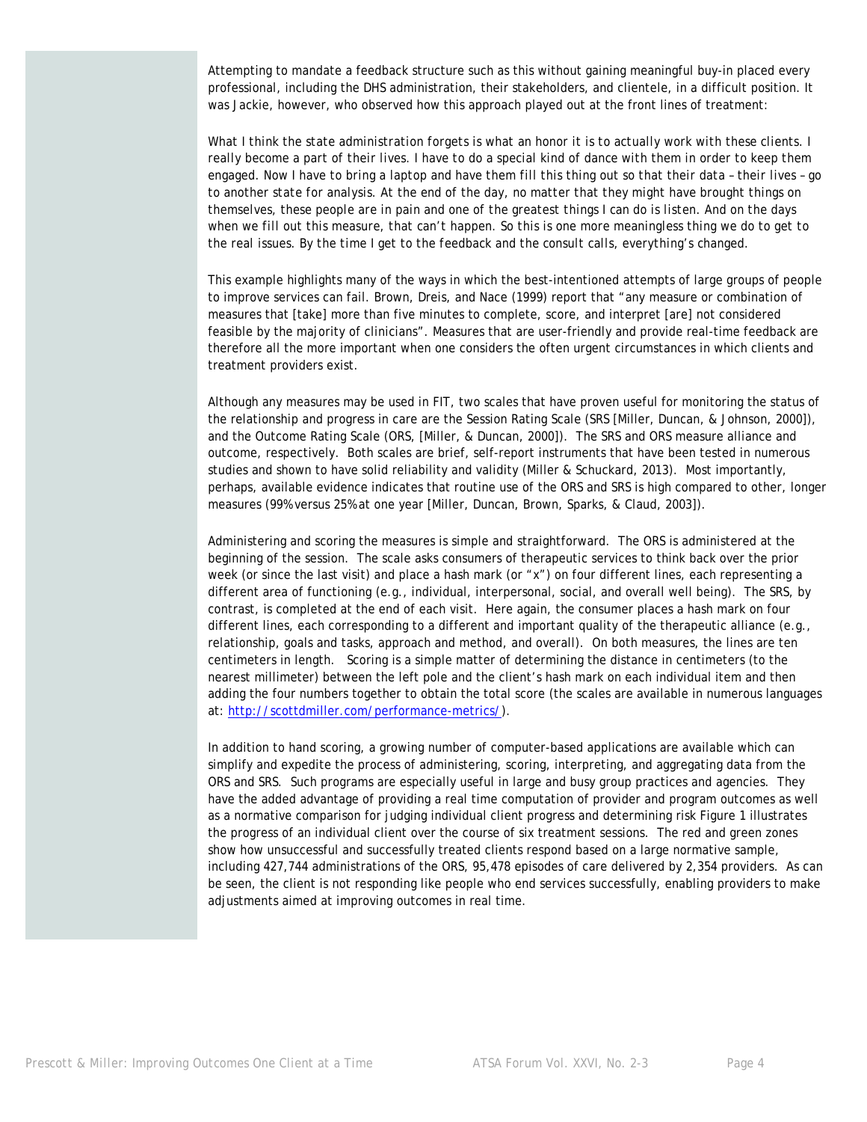Attempting to mandate a feedback structure such as this without gaining meaningful buy-in placed every professional, including the DHS administration, their stakeholders, and clientele, in a difficult position. It was Jackie, however, who observed how this approach played out at the front lines of treatment:

*What I think the state administration forgets is what an honor it is to actually work with these clients. I really become a part of their lives. I have to do a special kind of dance with them in order to keep them engaged. Now I have to bring a laptop and have them fill this thing out so that their data – their lives – go to another state for analysis. At the end of the day, no matter that they might have brought things on themselves, these people are in pain and one of the greatest things I can do is listen. And on the days when we fill out this measure, that can't happen. So this is one more meaningless thing we do to get to the real issues. By the time I get to the feedback and the consult calls, everything's changed.*

This example highlights many of the ways in which the best-intentioned attempts of large groups of people to improve services can fail. Brown, Dreis, and Nace (1999) report that "any measure or combination of measures that [take] more than five minutes to complete, score, and interpret [are] not considered feasible by the majority of clinicians". Measures that are user-friendly and provide real-time feedback are therefore all the more important when one considers the often urgent circumstances in which clients and treatment providers exist.

Although any measures may be used in FIT, two scales that have proven useful for monitoring the status of the relationship and progress in care are the Session Rating Scale (SRS [Miller, Duncan, & Johnson, 2000]), and the Outcome Rating Scale (ORS, [Miller, & Duncan, 2000]). The SRS and ORS measure alliance and outcome, respectively. Both scales are brief, self-report instruments that have been tested in numerous studies and shown to have solid reliability and validity (Miller & Schuckard, 2013). Most importantly, perhaps, available evidence indicates that routine use of the ORS and SRS is high compared to other, longer measures (99% versus 25% at one year [Miller, Duncan, Brown, Sparks, & Claud, 2003]).

Administering and scoring the measures is simple and straightforward. The ORS is administered at the beginning of the session. The scale asks consumers of therapeutic services to think back over the prior week (or since the last visit) and place a hash mark (or "x") on four different lines, each representing a different area of functioning (e.g., individual, interpersonal, social, and overall well being). The SRS, by contrast, is completed at the end of each visit. Here again, the consumer places a hash mark on four different lines, each corresponding to a different and important quality of the therapeutic alliance (e.g., relationship, goals and tasks, approach and method, and overall). On both measures, the lines are ten centimeters in length. Scoring is a simple matter of determining the distance in centimeters (to the nearest millimeter) between the left pole and the client's hash mark on each individual item and then adding the four numbers together to obtain the total score (the scales are available in numerous languages at: http://scottdmiller.com/performance-metrics/).

In addition to hand scoring, a growing number of computer-based applications are available which can simplify and expedite the process of administering, scoring, interpreting, and aggregating data from the ORS and SRS. Such programs are especially useful in large and busy group practices and agencies. They have the added advantage of providing a real time computation of provider and program outcomes as well as a normative comparison for judging individual client progress and determining risk Figure 1 illustrates the progress of an individual client over the course of six treatment sessions. The red and green zones show how unsuccessful and successfully treated clients respond based on a large normative sample, including 427,744 administrations of the ORS, 95,478 episodes of care delivered by 2,354 providers. As can be seen, the client is not responding like people who end services successfully, enabling providers to make adjustments aimed at improving outcomes in real time.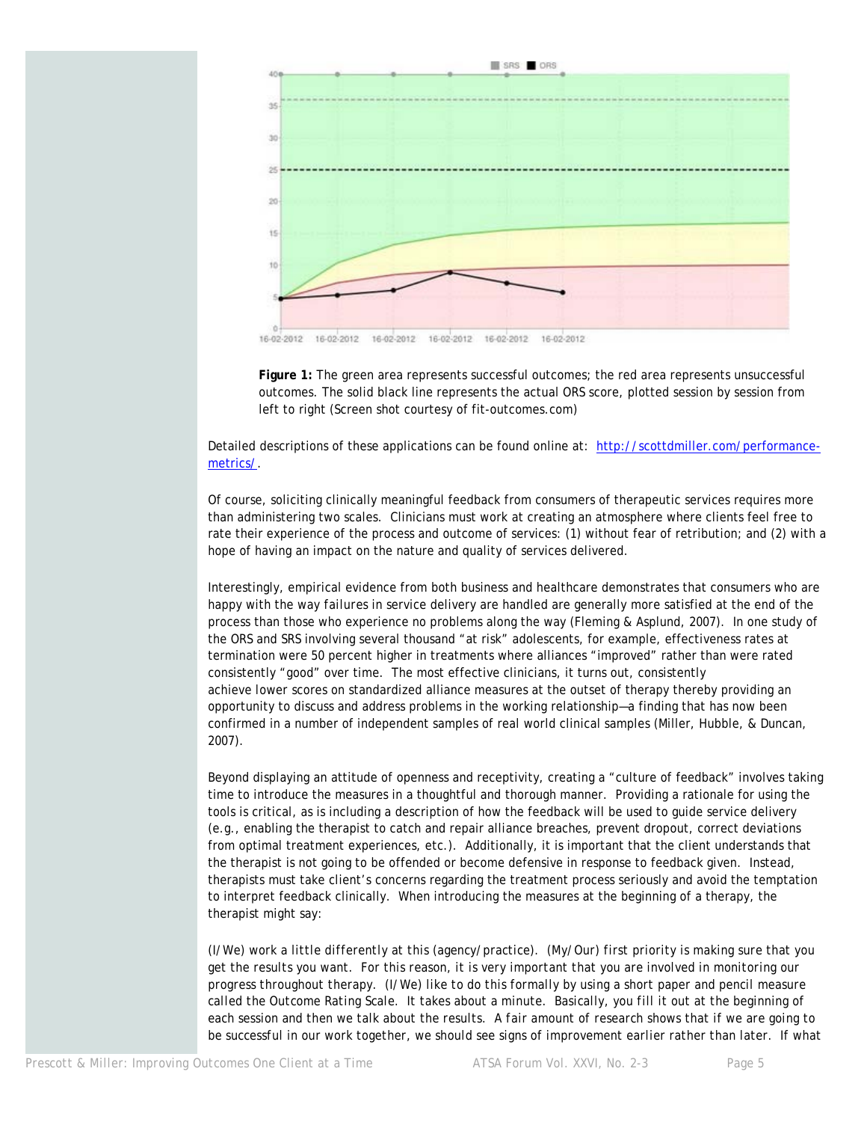

**Figure 1:** The green area represents successful outcomes; the red area represents unsuccessful outcomes. The solid black line represents the actual ORS score, plotted session by session from left to right (Screen shot courtesy of fit-outcomes.com)

Detailed descriptions of these applications can be found online at: http://scottdmiller.com/performancemetrics/.

Of course, soliciting clinically meaningful feedback from consumers of therapeutic services requires more than administering two scales. Clinicians must work at creating an atmosphere where clients feel free to rate their experience of the process and outcome of services: (1) without fear of retribution; and (2) with a hope of having an impact on the nature and quality of services delivered.

Interestingly, empirical evidence from both business and healthcare demonstrates that consumers who are happy with the way *failures* in service delivery are handled are generally *more* satisfied at the end of the process than those who experience no problems along the way (Fleming & Asplund, 2007). In one study of the ORS and SRS involving several thousand "at risk" adolescents, for example, effectiveness rates at termination were 50 percent higher in treatments where alliances "improved" rather than were rated consistently "good" over time. The most effective clinicians, it turns out, consistently achieve *lower* scores on standardized alliance measures at the outset of therapy thereby providing an opportunity to discuss and address problems in the working relationship—a finding that has now been confirmed in a number of independent samples of real world clinical samples (Miller, Hubble, & Duncan, 2007).

Beyond displaying an attitude of openness and receptivity, creating a "culture of feedback" involves taking time to introduce the measures in a thoughtful and thorough manner. Providing a rationale for using the tools is critical, as is including a description of how the feedback will be used to guide service delivery (e.g., enabling the therapist to catch and repair alliance breaches, prevent dropout, correct deviations from optimal treatment experiences, etc.). Additionally, it is important that the client understands that the therapist is not going to be offended or become defensive in response to feedback given. Instead, therapists must take client's concerns regarding the treatment process seriously and avoid the temptation to interpret feedback clinically. When introducing the measures at the beginning of a therapy, the therapist might say*:*

*(I/We) work a little differently at this (agency/practice). (My/Our) first priority is making sure that you get the results you want. For this reason, it is very important that you are involved in monitoring our progress throughout therapy. (I/We) like to do this formally by using a short paper and pencil measure called the Outcome Rating Scale. It takes about a minute. Basically, you fill it out at the beginning of each session and then we talk about the results. A fair amount of research shows that if we are going to be successful in our work together, we should see signs of improvement earlier rather than later. If what*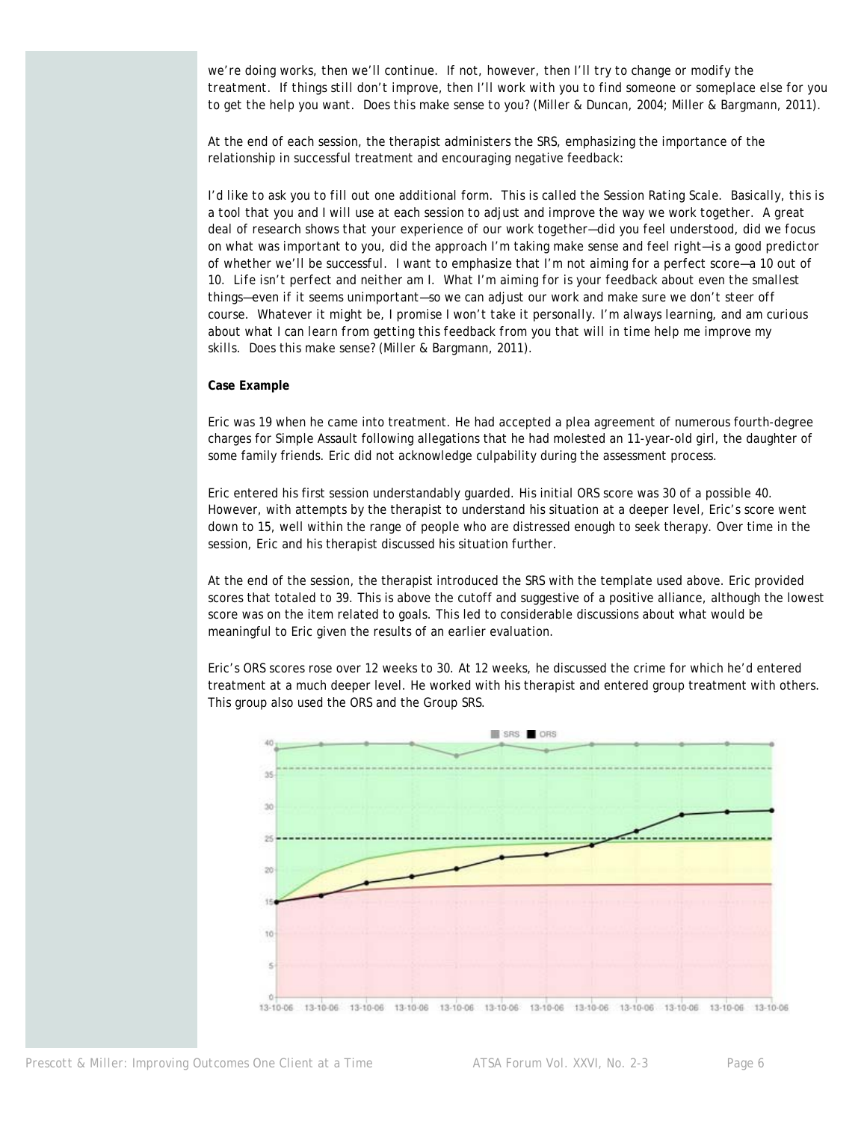*we're doing works, then we'll continue. If not, however, then I'll try to change or modify the treatment. If things still don't improve, then I'll work with you to find someone or someplace else for you to get the help you want. Does this make sense to you?* (Miller & Duncan, 2004; Miller & Bargmann, 2011).

At the end of each session, the therapist administers the SRS, emphasizing the importance of the relationship in successful treatment *and* encouraging negative feedback:

*I'd like to ask you to fill out one additional form. This is called the Session Rating Scale. Basically, this is a tool that you and I will use at each session to adjust and improve the way we work together. A great deal of research shows that your experience of our work together—did you feel understood, did we focus on what was important to you, did the approach I'm taking make sense and feel right—is a good predictor of whether we'll be successful. I want to emphasize that I'm not aiming for a perfect score—a 10 out of 10. Life isn't perfect and neither am I. What I'm aiming for is your feedback about even the smallest things—even if it seems unimportant—so we can adjust our work and make sure we don't steer off course. Whatever it might be, I promise I won't take it personally. I'm always learning, and am curious about what I can learn from getting this feedback from you that will in time help me improve my skills. Does this make sense?* (Miller & Bargmann, 2011).

## **Case Example**

Eric was 19 when he came into treatment. He had accepted a plea agreement of numerous fourth-degree charges for Simple Assault following allegations that he had molested an 11-year-old girl, the daughter of some family friends. Eric did not acknowledge culpability during the assessment process.

Eric entered his first session understandably guarded. His initial ORS score was 30 of a possible 40. However, with attempts by the therapist to understand his situation at a deeper level, Eric's score went down to 15, well within the range of people who are distressed enough to seek therapy. Over time in the session, Eric and his therapist discussed his situation further.

At the end of the session, the therapist introduced the SRS with the template used above. Eric provided scores that totaled to 39. This is above the cutoff and suggestive of a positive alliance, although the lowest score was on the item related to goals. This led to considerable discussions about what would be meaningful to Eric given the results of an earlier evaluation.

Eric's ORS scores rose over 12 weeks to 30. At 12 weeks, he discussed the crime for which he'd entered treatment at a much deeper level. He worked with his therapist and entered group treatment with others. This group also used the ORS and the Group SRS.

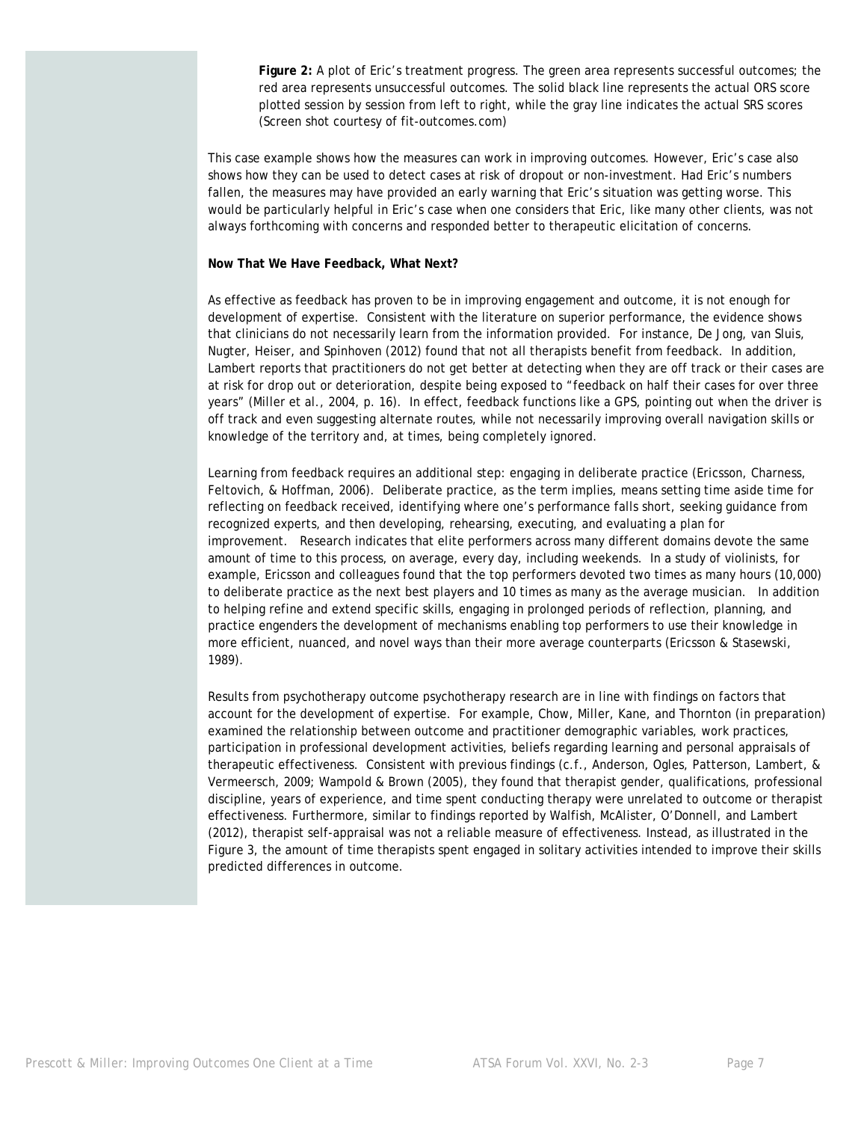**Figure 2:** A plot of Eric's treatment progress. The green area represents successful outcomes; the red area represents unsuccessful outcomes. The solid black line represents the actual ORS score plotted session by session from left to right, while the gray line indicates the actual SRS scores (Screen shot courtesy of fit-outcomes.com)

This case example shows how the measures can work in improving outcomes. However, Eric's case also shows how they can be used to detect cases at risk of dropout or non-investment. Had Eric's numbers fallen, the measures may have provided an early warning that Eric's situation was getting worse. This would be particularly helpful in Eric's case when one considers that Eric, like many other clients, was not always forthcoming with concerns and responded better to therapeutic elicitation of concerns.

#### **Now That We Have Feedback, What Next?**

As effective as feedback has proven to be in improving engagement and outcome, it is not enough for development of expertise. Consistent with the literature on superior performance, the evidence shows that clinicians do not necessarily learn from the information provided. For instance, De Jong, van Sluis, Nugter, Heiser, and Spinhoven (2012) found that not all therapists benefit from feedback. In addition, Lambert reports that practitioners do not get better at detecting when they are off track or their cases are at risk for drop out or deterioration, despite being exposed to "feedback on half their cases for over three years" (Miller et al., 2004, p. 16). In effect, feedback functions like a GPS, pointing out when the driver is off track and even suggesting alternate routes, while not necessarily improving overall navigation skills or knowledge of the territory and, at times, being completely ignored.

Learning from feedback requires an additional step: engaging in deliberate practice (Ericsson, Charness, Feltovich, & Hoffman, 2006). Deliberate practice, as the term implies, means setting time aside time for reflecting on feedback received, identifying where one's performance falls short, seeking guidance from recognized experts, and then developing, rehearsing, executing, and evaluating a plan for improvement. Research indicates that elite performers across many different domains devote the same amount of time to this process, on average, every day, including weekends. In a study of violinists, for example, Ericsson and colleagues found that the top performers devoted two times as many hours (10,000) to deliberate practice as the next best players and 10 times as many as the average musician. In addition to helping refine and extend specific skills, engaging in prolonged periods of reflection, planning, and practice engenders the development of mechanisms enabling top performers to use their knowledge in more efficient, nuanced, and novel ways than their more average counterparts (Ericsson & Stasewski, 1989).

Results from psychotherapy outcome psychotherapy research are in line with findings on factors that account for the development of expertise. For example, Chow, Miller, Kane, and Thornton (in preparation) examined the relationship between outcome and practitioner demographic variables, work practices, participation in professional development activities, beliefs regarding learning and personal appraisals of therapeutic effectiveness. Consistent with previous findings (c.f., Anderson, Ogles, Patterson, Lambert, & Vermeersch, 2009; Wampold & Brown (2005), they found that therapist gender, qualifications, professional discipline, years of experience, and time spent conducting therapy were unrelated to outcome or therapist effectiveness. Furthermore, similar to findings reported by Walfish, McAlister, O'Donnell, and Lambert (2012), therapist self-appraisal was not a reliable measure of effectiveness. Instead, as illustrated in the Figure 3, the amount of time therapists spent engaged in solitary activities intended to improve their skills predicted differences in outcome.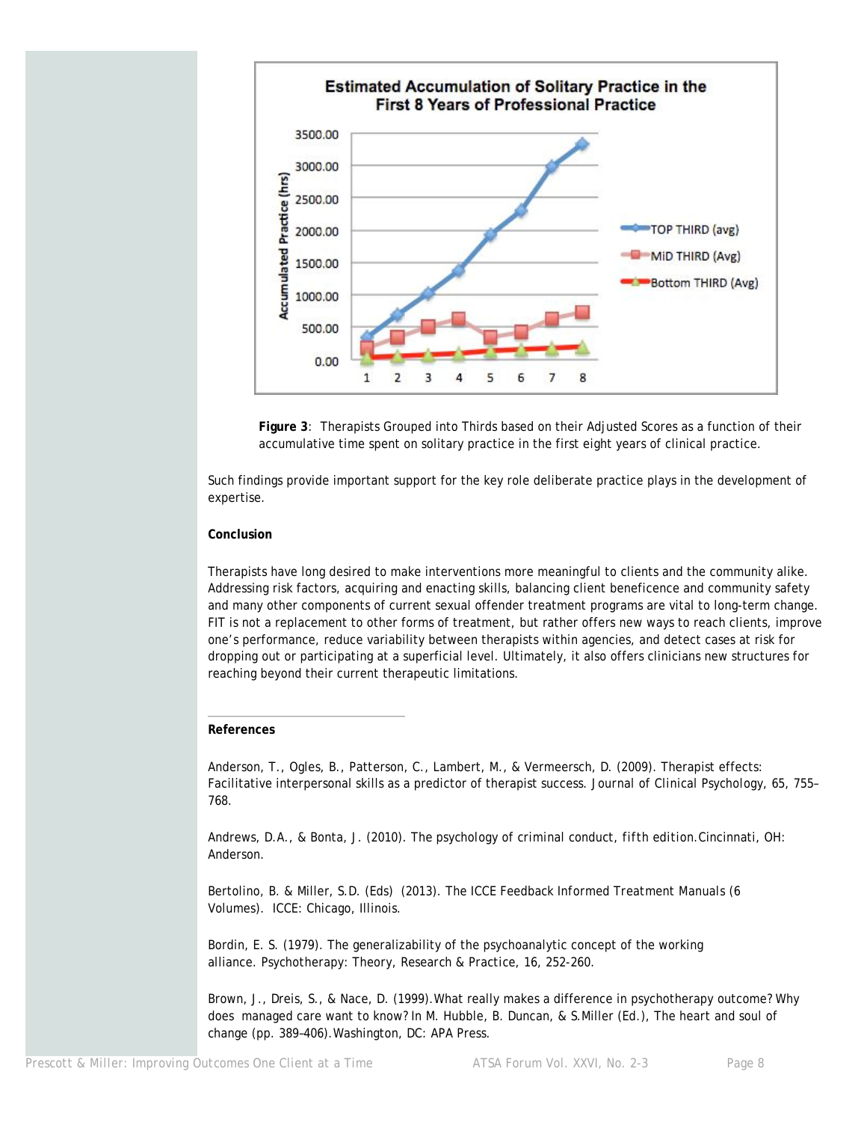

**Figure 3**: Therapists Grouped into Thirds based on their Adjusted Scores as a function of their accumulative time spent on solitary practice in the first eight years of clinical practice.

Such findings provide important support for the key role deliberate practice plays in the development of expertise.

## **Conclusion**

Therapists have long desired to make interventions more meaningful to clients and the community alike. Addressing risk factors, acquiring and enacting skills, balancing client beneficence and community safety and many other components of current sexual offender treatment programs are vital to long-term change. FIT is not a replacement to other forms of treatment, but rather offers new ways to reach clients, improve one's performance, reduce variability between therapists within agencies, and detect cases at risk for dropping out or participating at a superficial level. Ultimately, it also offers clinicians new structures for reaching beyond their current therapeutic limitations.

#### **References**

Anderson, T., Ogles, B., Patterson, C., Lambert, M., & Vermeersch, D. (2009). Therapist effects: Facilitative interpersonal skills as a predictor of therapist success. *Journal of Clinical Psychology, 65,* 755– 768.

Andrews, D.A., & Bonta, J. (2010). *The psychology of criminal conduct, fifth edition.*Cincinnati, OH: Anderson.

Bertolino, B. & Miller, S.D. (Eds) (2013). *The ICCE Feedback Informed Treatment Manuals* (6 Volumes). ICCE: Chicago, Illinois.

Bordin, E. S. (1979). The generalizability of the psychoanalytic concept of the working alliance. *Psychotherapy: Theory, Research & Practice, 16*, 252-260.

Brown, J., Dreis, S., & Nace, D. (1999).What really makes a difference in psychotherapy outcome? Why does managed care want to know? In M. Hubble, B. Duncan, & S.Miller (Ed.), *The heart and soul of change* (pp. 389–406).Washington, DC: APA Press.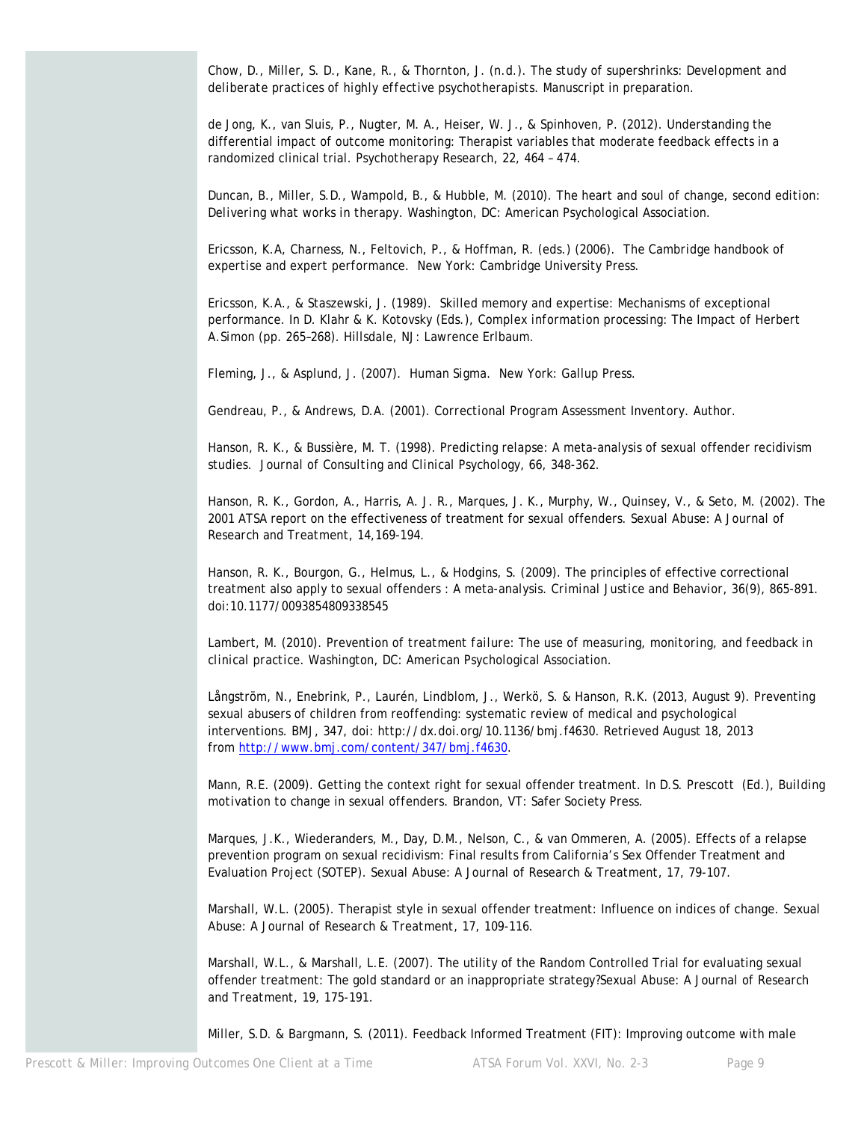Chow, D., Miller, S. D., Kane, R., & Thornton, J. (n.d.). *The study of supershrinks: Development and deliberate practices of highly effective psychotherapists.* Manuscript in preparation.

de Jong, K., van Sluis, P., Nugter, M. A., Heiser, W. J., & Spinhoven, P. (2012). Understanding the differential impact of outcome monitoring: Therapist variables that moderate feedback effects in a randomized clinical trial. *Psychotherapy Research, 22,* 464 – 474.

Duncan, B., Miller, S.D., Wampold, B., & Hubble, M. (2010). *The heart and soul of change, second edition: Delivering what works in therapy.* Washington, DC: American Psychological Association.

Ericsson, K.A, Charness, N., Feltovich, P., & Hoffman, R. (eds.) (2006). *The Cambridge handbook of expertise and expert performance.* New York: Cambridge University Press.

Ericsson, K.A., & Staszewski, J. (1989). Skilled memory and expertise: Mechanisms of exceptional performance. In D. Klahr & K. Kotovsky (Eds.), *Complex information processing: The Impact of Herbert A.Simon* (pp. 265–268). Hillsdale, NJ: Lawrence Erlbaum.

Fleming, J., & Asplund, J. (2007). *Human Sigma.* New York: Gallup Press.

Gendreau, P., & Andrews, D.A. (2001). *Correctional Program Assessment Inventory*. Author.

Hanson, R. K., & Bussière, M. T. (1998). Predicting relapse: A meta-analysis of sexual offender recidivism studies. *Journal of Consulting and Clinical Psychology, 66,* 348-362.

Hanson, R. K., Gordon, A., Harris, A. J. R., Marques, J. K., Murphy, W., Quinsey, V., & Seto, M. (2002). The 2001 ATSA report on the effectiveness of treatment for sexual offenders. *Sexual Abuse: A Journal of Research and Treatment, 14,*169-194.

Hanson, R. K., Bourgon, G., Helmus, L., & Hodgins, S. (2009). The principles of effective correctional treatment also apply to sexual offenders : A meta-analysis. *Criminal Justice and Behavior, 36(9)*, 865-891. doi:10.1177/0093854809338545

Lambert, M. (2010). *Prevention of treatment failure: The use of measuring, monitoring, and feedback in clinical practice*. Washington, DC: American Psychological Association.

Långström, N., Enebrink, P., Laurén, Lindblom, J., Werkö, S. & Hanson, R.K. (2013, August 9). Preventing sexual abusers of children from reoffending: systematic review of medical and psychological interventions. *BMJ, 347,* doi: http://dx.doi.org/10.1136/bmj.f4630. Retrieved August 18, 2013 from http://www.bmj.com/content/347/bmj.f4630.

Mann, R.E. (2009). Getting the context right for sexual offender treatment. In D.S. Prescott (Ed.), *Building motivation to change in sexual offenders.* Brandon, VT: Safer Society Press.

Marques, J.K., Wiederanders, M., Day, D.M., Nelson, C., & van Ommeren, A. (2005). Effects of a relapse prevention program on sexual recidivism: Final results from California's Sex Offender Treatment and Evaluation Project (SOTEP). *Sexual Abuse: A Journal of Research & Treatment, 17,* 79-107.

Marshall, W.L. (2005). Therapist style in sexual offender treatment: Influence on indices of change. *Sexual Abuse: A Journal of Research & Treatment, 17,* 109-116.

Marshall, W.L., & Marshall, L.E. (2007). The utility of the Random Controlled Trial for evaluating sexual offender treatment: The gold standard or an inappropriate strategy?*Sexual Abuse: A Journal of Research and Treatment, 19,* 175-191.

Miller, S.D. & Bargmann, S. (2011). Feedback Informed Treatment (FIT): Improving outcome with male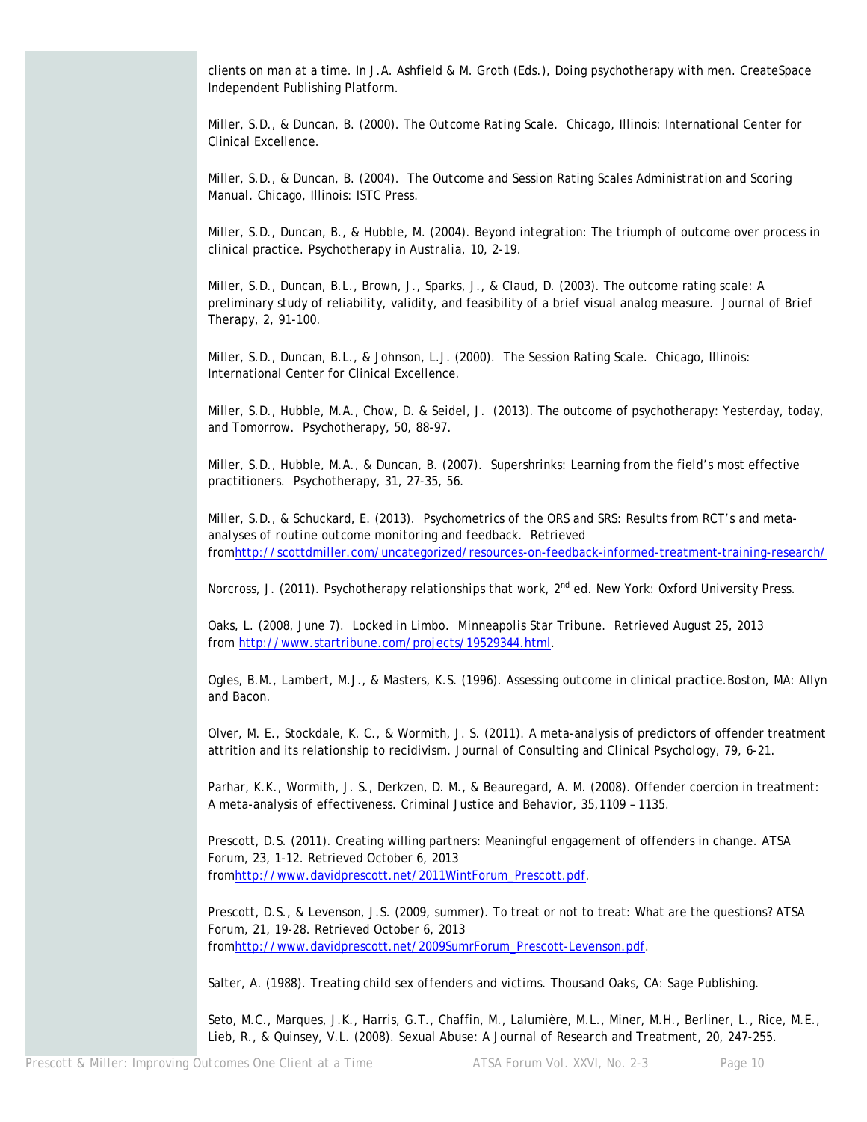clients on man at a time. In J.A. Ashfield & M. Groth (Eds.), *Doing psychotherapy with men*. CreateSpace Independent Publishing Platform.

Miller, S.D., & Duncan, B. (2000). *The Outcome Rating Scale*. Chicago, Illinois: International Center for Clinical Excellence.

Miller, S.D., & Duncan, B. (2004). *The Outcome and Session Rating Scales Administration and Scoring Manual.* Chicago, Illinois: ISTC Press.

Miller, S.D., Duncan, B., & Hubble, M. (2004). Beyond integration: The triumph of outcome over process in clinical practice. *Psychotherapy in Australia, 10,* 2-19.

Miller, S.D., Duncan, B.L., Brown, J., Sparks, J., & Claud, D. (2003). The outcome rating scale: A preliminary study of reliability, validity, and feasibility of a brief visual analog measure. *Journal of Brief Therapy, 2,* 91-100.

Miller, S.D., Duncan, B.L., & Johnson, L.J. (2000). *The Session Rating Scale.* Chicago, Illinois: International Center for Clinical Excellence.

Miller, S.D., Hubble, M.A., Chow, D. & Seidel, J. (2013). The outcome of psychotherapy: Yesterday, today, and Tomorrow. *Psychotherapy, 50*, 88-97.

Miller, S.D., Hubble, M.A., & Duncan, B. (2007). Supershrinks: Learning from the field's most effective practitioners. *Psychotherapy, 31,* 27-35, 56.

Miller, S.D., & Schuckard, E. (2013). *Psychometrics of the ORS and SRS: Results from RCT's and metaanalyses of routine outcome monitoring and feedback.* Retrieved fromhttp://scottdmiller.com/uncategorized/resources-on-feedback-informed-treatment-training-research/

Norcross, J. (2011). *Psychotherapy relationships that work*, 2<sup>nd</sup> ed. New York: Oxford University Press.

Oaks, L. (2008, June 7). Locked in Limbo. *Minneapolis Star Tribune*. Retrieved August 25, 2013 from http://www.startribune.com/projects/19529344.html.

Ogles, B.M., Lambert, M.J., & Masters, K.S. (1996). *Assessing outcome in clinical practice.*Boston, MA: Allyn and Bacon.

Olver, M. E., Stockdale, K. C., & Wormith, J. S. (2011). A meta-analysis of predictors of offender treatment attrition and its relationship to recidivism. *Journal of Consulting and Clinical Psychology, 79*, 6-21.

Parhar, K.K., Wormith, J. S., Derkzen, D. M., & Beauregard, A. M. (2008). Offender coercion in treatment: A meta-analysis of effectiveness. *Criminal Justice and Behavior, 35,*1109 – 1135.

Prescott, D.S. (2011). Creating willing partners: Meaningful engagement of offenders in change. *ATSA Forum, 23,* 1-12. Retrieved October 6, 2013 fromhttp://www.davidprescott.net/2011WintForum\_Prescott.pdf.

Prescott, D.S., & Levenson, J.S. (2009, summer). To treat or not to treat: What are the questions? *ATSA Forum, 21,* 19-28. Retrieved October 6, 2013 fromhttp://www.davidprescott.net/2009SumrForum\_Prescott-Levenson.pdf.

Salter, A. (1988). *Treating child sex offenders and victims*. Thousand Oaks, CA: Sage Publishing.

Seto, M.C., Marques, J.K., Harris, G.T., Chaffin, M., Lalumière, M.L., Miner, M.H., Berliner, L., Rice, M.E., Lieb, R., & Quinsey, V.L. (2008). *Sexual Abuse: A Journal of Research and Treatment, 20,* 247-255.